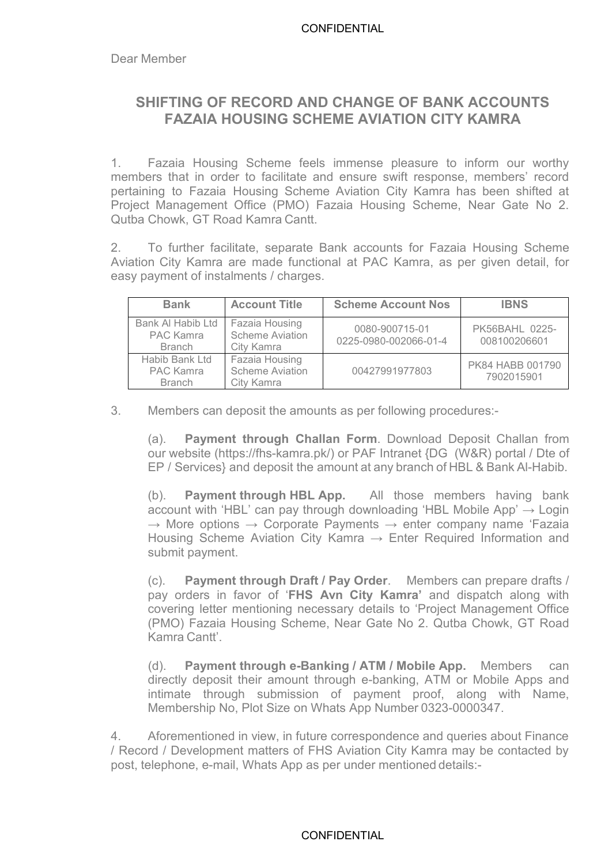## **SHIFTING OF RECORD AND CHANGE OF BANK ACCOUNTS FAZAIA HOUSING SCHEME AVIATION CITY KAMRA**

1. Fazaia Housing Scheme feels immense pleasure to inform our worthy members that in order to facilitate and ensure swift response, members' record pertaining to Fazaia Housing Scheme Aviation City Kamra has been shifted at Project Management Office (PMO) Fazaia Housing Scheme, Near Gate No 2. Qutba Chowk, GT Road Kamra Cantt.

2. To further facilitate, separate Bank accounts for Fazaia Housing Scheme Aviation City Kamra are made functional at PAC Kamra, as per given detail, for easy payment of instalments / charges.

|  | <b>Bank</b>                                         | <b>Account Title</b>                                   | <b>Scheme Account Nos</b>               | <b>IBNS</b>                    |
|--|-----------------------------------------------------|--------------------------------------------------------|-----------------------------------------|--------------------------------|
|  | Bank Al Habib Ltd<br>PAC Kamra<br><b>Branch</b>     | Fazaia Housing<br><b>Scheme Aviation</b><br>City Kamra | 0080-900715-01<br>0225-0980-002066-01-4 | PK56BAHL 0225-<br>008100206601 |
|  | Habib Bank Ltd<br><b>PAC Kamra</b><br><b>Branch</b> | Fazaia Housing<br>Scheme Aviation<br>City Kamra        | 00427991977803                          | PK84 HABB 001790<br>7902015901 |

3. Members can deposit the amounts as per following procedures:-

(a). **Payment through Challan Form**. Download Deposit Challan from our website (https://fhs-kamra.pk/) or PAF Intranet {DG (W&R) portal / Dte of EP / Services} and deposit the amount at any branch of HBL & Bank Al-Habib.

(b). **Payment through HBL App.** All those members having bank account with 'HBL' can pay through downloading 'HBL Mobile App'  $\rightarrow$  Login  $\rightarrow$  More options  $\rightarrow$  Corporate Payments  $\rightarrow$  enter company name 'Fazaia Housing Scheme Aviation City Kamra  $\rightarrow$  Enter Required Information and submit payment.

(c). **Payment through Draft / Pay Order**. Members can prepare drafts / pay orders in favor of '**FHS Avn City Kamra'** and dispatch along with covering letter mentioning necessary details to 'Project Management Office (PMO) Fazaia Housing Scheme, Near Gate No 2. Qutba Chowk, GT Road Kamra Cantt'.

(d). **Payment through e-Banking / ATM / Mobile App.** Members can directly deposit their amount through e-banking, ATM or Mobile Apps and intimate through submission of payment proof, along with Name, Membership No, Plot Size on Whats App Number 0323-0000347.

4. Aforementioned in view, in future correspondence and queries about Finance / Record / Development matters of FHS Aviation City Kamra may be contacted by post, telephone, e-mail, Whats App as per under mentioned details:-

## **CONFIDENTIAL**